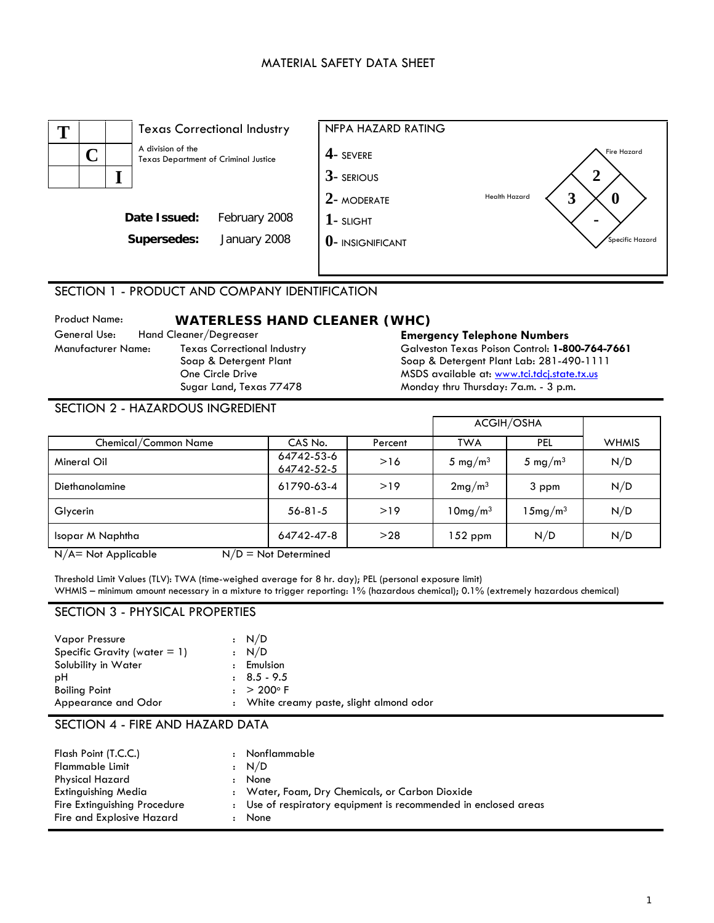## MATERIAL SAFETY DATA SHEET



# SECTION 1 - PRODUCT AND COMPANY IDENTIFICATION

Product Name: **WATERLESS HAND CLEANER (WHC)** General Use: Hand Cleaner/Degreaser **Emergency Telephone Numbers**  Texas Correctional Industry Soap & Detergent Plant One Circle Drive Sugar Land, Texas 77478

Galveston Texas Poison Control: **1-800-764-7661** Soap & Detergent Plant Lab: 281-490-1111 MSDS available at: [www.tci.tdcj.state.tx.us](http://www.tci.tdcj.state.tx.us/) Monday thru Thursday: 7a.m. - 3 p.m.

#### SECTION 2 - HAZARDOUS INGREDIENT

|                      | ACGIH/OSHA               |         |                     |                     |              |
|----------------------|--------------------------|---------|---------------------|---------------------|--------------|
| Chemical/Common Name | CAS No.                  | Percent | <b>TWA</b>          | PEL                 | <b>WHMIS</b> |
| Mineral Oil          | 64742-53-6<br>64742-52-5 | >16     | 5 mg/m <sup>3</sup> | 5 mg/m <sup>3</sup> | N/D          |
| Diethanolamine       | 61790-63-4               | >19     | 2mg/m <sup>3</sup>  | 3 ppm               | N/D          |
| Glycerin             | $56 - 81 - 5$            | >19     | 10mg/m <sup>3</sup> | $15mg/m^3$          | N/D          |
| Isopar M Naphtha     | 64742-47-8               | >28     | $152$ ppm           | N/D                 | N/D          |
|                      |                          |         |                     |                     |              |

 $N/A$  = Not Applicable  $N/D$  = Not Determined

Threshold Limit Values (TLV): TWA (time-weighed average for 8 hr. day); PEL (personal exposure limit) WHMIS – minimum amount necessary in a mixture to trigger reporting: 1% (hazardous chemical); 0.1% (extremely hazardous chemical)

#### SECTION 3 - PHYSICAL PROPERTIES

| <b>Vapor Pressure</b>           | : N/D                                    |
|---------------------------------|------------------------------------------|
| Specific Gravity (water $= 1$ ) | : N/D                                    |
| Solubility in Water             | Emulsion                                 |
| рH                              | $\pm 8.5 - 9.5$                          |
| <b>Boiling Point</b>            | $: > 200^{\circ} F$                      |
| Appearance and Odor             | : White creamy paste, slight almond odor |

### SECTION 4 - FIRE AND HAZARD DATA

| Flash Point (T.C.C.)         | Nonflammable                                                    |
|------------------------------|-----------------------------------------------------------------|
| <b>Flammable Limit</b>       | : N/D                                                           |
| Physical Hazard              | None                                                            |
| <b>Extinguishing Media</b>   | : Water, Foam, Dry Chemicals, or Carbon Dioxide                 |
| Fire Extinguishing Procedure | : Use of respiratory equipment is recommended in enclosed areas |
| Fire and Explosive Hazard    | None                                                            |